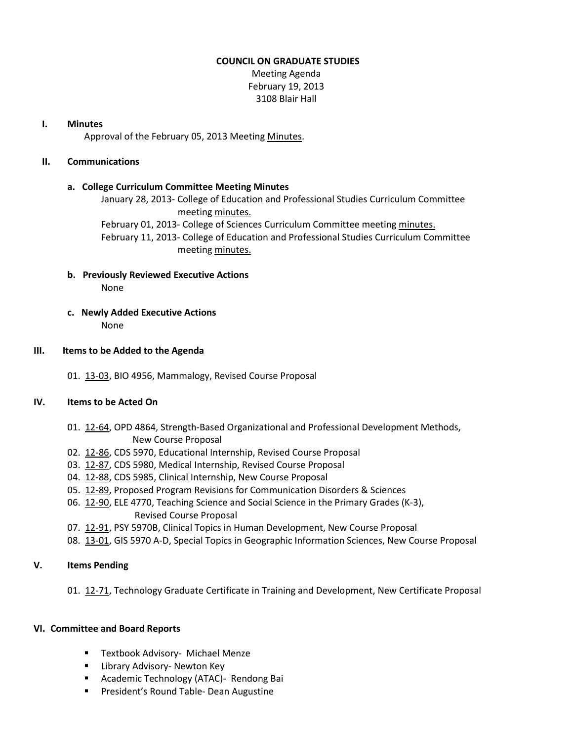#### **COUNCIL ON GRADUATE STUDIES**

Meeting Agenda February 19, 2013 3108 Blair Hall

#### **I. Minutes**

Approval of the February 05, 2013 Meetin[g Minutes.](http://castle.eiu.edu/eiucgs/currentminutes/Minutes02-05-13.pdf)

#### **II. Communications**

#### **a. College Curriculum Committee Meeting Minutes**

January 28, 2013- College of Education and Professional Studies Curriculum Committee meeting [minutes.](http://castle.eiu.edu/~eiucgs/currentagendaitems/CEPSMin01-28-13.pdf) February 01, 2013- College of Sciences Curriculum Committee meeting [minutes.](http://castle.eiu.edu/~eiucgs/currentagendaitems/COSMin02-01-13.pdf)

February 11, 2013- College of Education and Professional Studies Curriculum Committee meeting [minutes.](http://castle.eiu.edu/~eiucgs/currentagendaitems/CEPSMin02-11-13.pdf)

## **b. Previously Reviewed Executive Actions** None

**c. Newly Added Executive Actions** None

#### **III. Items to be Added to the Agenda**

01. [13-03,](http://castle.eiu.edu/~eiucgs/currentagendaitems/agenda13-03.pdf) BIO 4956, Mammalogy, Revised Course Proposal

## **IV. Items to be Acted On**

- 01. [12-64,](http://castle.eiu.edu/~eiucgs/currentagendaitems/agenda12-64.pdf) OPD 4864, Strength-Based Organizational and Professional Development Methods, New Course Proposal
- 02. [12-86,](http://castle.eiu.edu/~eiucgs/currentagendaitems/agenda12-86.pdf) CDS 5970, Educational Internship, Revised Course Proposal
- 03. [12-87,](http://castle.eiu.edu/~eiucgs/currentagendaitems/agenda12-87.pdf) CDS 5980, Medical Internship, Revised Course Proposal
- 04. [12-88,](http://castle.eiu.edu/~eiucgs/currentagendaitems/agenda12-88.pdf) CDS 5985, Clinical Internship, New Course Proposal
- 05. [12-89,](http://castle.eiu.edu/~eiucgs/currentagendaitems/agenda12-89.pdf) Proposed Program Revisions for Communication Disorders & Sciences
- 06. [12-90,](http://castle.eiu.edu/~eiucgs/currentagendaitems/agenda12-90.pdf) ELE 4770, Teaching Science and Social Science in the Primary Grades (K-3), Revised Course Proposal
- 07. [12-91,](http://castle.eiu.edu/~eiucgs/currentagendaitems/agenda12-91.pdf) PSY 5970B, Clinical Topics in Human Development, New Course Proposal
- 08. [13-01,](http://castle.eiu.edu/~eiucgs/currentagendaitems/agenda13-01.pdf) GIS 5970 A-D, Special Topics in Geographic Information Sciences, New Course Proposal

### **V. Items Pending**

01.[12-71,](http://castle.eiu.edu/~eiucgs/currentagendaitems/agenda12-71.pdf) Technology Graduate Certificate in Training and Development, New Certificate Proposal

#### **VI. Committee and Board Reports**

- **Textbook Advisory- Michael Menze**
- **E** Library Advisory- Newton Key
- **Academic Technology (ATAC)- Rendong Bai**
- **President's Round Table- Dean Augustine**